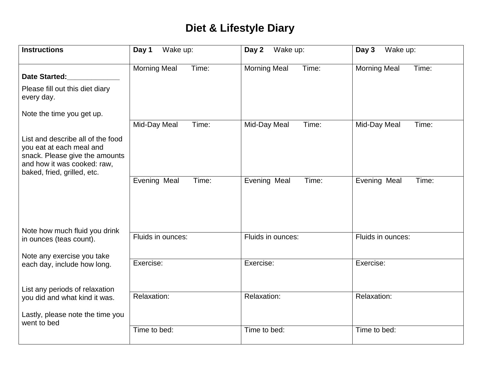## **Diet & Lifestyle Diary**

| <b>Instructions</b>                                                                                                                                           | Day 1<br>Wake up:                              | Wake up:<br>Day 2                              | Wake up:<br>Day 3                              |
|---------------------------------------------------------------------------------------------------------------------------------------------------------------|------------------------------------------------|------------------------------------------------|------------------------------------------------|
| <b>Date Started:</b><br>Please fill out this diet diary<br>every day.                                                                                         | <b>Morning Meal</b><br>Time:                   | <b>Morning Meal</b><br>Time:                   | <b>Morning Meal</b><br>Time:                   |
| Note the time you get up.                                                                                                                                     |                                                |                                                |                                                |
| List and describe all of the food<br>you eat at each meal and<br>snack. Please give the amounts<br>and how it was cooked: raw,<br>baked, fried, grilled, etc. | Mid-Day Meal<br>Time:<br>Evening Meal<br>Time: | Mid-Day Meal<br>Time:<br>Evening Meal<br>Time: | Mid-Day Meal<br>Time:<br>Evening Meal<br>Time: |
| Note how much fluid you drink<br>in ounces (teas count).<br>Note any exercise you take                                                                        | Fluids in ounces:                              | Fluids in ounces:                              | Fluids in ounces:                              |
| each day, include how long.                                                                                                                                   | Exercise:                                      | Exercise:                                      | Exercise:                                      |
| List any periods of relaxation<br>you did and what kind it was.<br>Lastly, please note the time you<br>went to bed                                            | Relaxation:                                    | Relaxation:                                    | Relaxation:                                    |
|                                                                                                                                                               | Time to bed:                                   | Time to bed:                                   | Time to bed:                                   |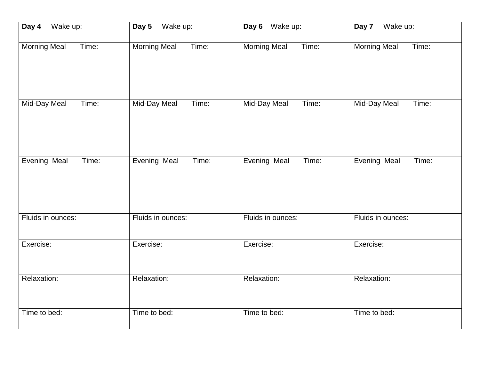| Day 4               | Wake up:            | Day 6 Wake up:      | Wake up:            |
|---------------------|---------------------|---------------------|---------------------|
| Wake up:            | Day 5               |                     | Day 7               |
| <b>Morning Meal</b> | Time:               | Time:               | Time:               |
| Time:               | <b>Morning Meal</b> | <b>Morning Meal</b> | <b>Morning Meal</b> |
| Time:               | Time:               | Time:               | Time:               |
| Mid-Day Meal        | Mid-Day Meal        | Mid-Day Meal        | Mid-Day Meal        |
| Evening Meal        | Evening Meal        | Evening Meal        | Evening Meal        |
| Time:               | Time:               | Time:               | Time:               |
| Fluids in ounces:   | Fluids in ounces:   | Fluids in ounces:   | Fluids in ounces:   |
| Exercise:           | Exercise:           | Exercise:           | Exercise:           |
| Relaxation:         | Relaxation:         | Relaxation:         | Relaxation:         |
| Time to bed:        | Time to bed:        | Time to bed:        | Time to bed:        |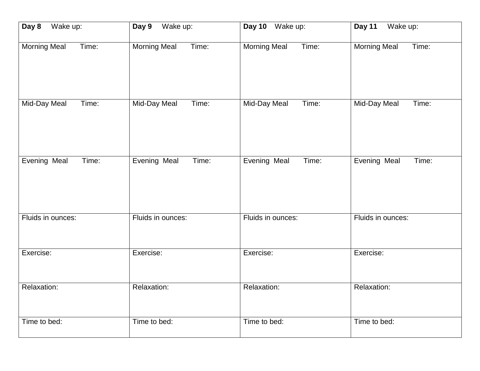| Day 8             | Wake up:            | Day 10 Wake up:     | Wake up:          |
|-------------------|---------------------|---------------------|-------------------|
| Wake up:          | Day 9               |                     | Day 11            |
| Morning Meal      | <b>Morning Meal</b> | <b>Morning Meal</b> | Morning Meal      |
| Time:             | Time:               | Time:               | Time:             |
| Mid-Day Meal      | Mid-Day Meal        | Mid-Day Meal        | Mid-Day Meal      |
| Time:             | Time:               | Time:               | Time:             |
| Evening Meal      | Evening Meal        | Evening Meal        | Evening Meal      |
| Time:             | Time:               | Time:               | Time:             |
| Fluids in ounces: | Fluids in ounces:   | Fluids in ounces:   | Fluids in ounces: |
| Exercise:         | Exercise:           | Exercise:           | Exercise:         |
| Relaxation:       | Relaxation:         | Relaxation:         | Relaxation:       |
| Time to bed:      | Time to bed:        | Time to bed:        | Time to bed:      |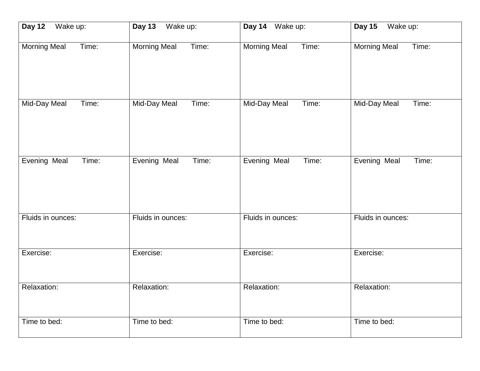| Day 12              | Wake up:            | Day 14 Wake up:     | Wake up:            |
|---------------------|---------------------|---------------------|---------------------|
| Wake up:            | Day 13              |                     | <b>Day 15</b>       |
| Time:               | <b>Morning Meal</b> | <b>Morning Meal</b> | <b>Morning Meal</b> |
| <b>Morning Meal</b> | Time:               | Time:               | Time:               |
| Mid-Day Meal        | Mid-Day Meal        | Mid-Day Meal        | <b>Mid-Day Meal</b> |
| Time:               | Time:               | Time:               | Time:               |
| Evening Meal        | Evening Meal        | Evening Meal        | Evening Meal        |
| Time:               | Time:               | Time:               | Time:               |
| Fluids in ounces:   | Fluids in ounces:   | Fluids in ounces:   | Fluids in ounces:   |
| Exercise:           | Exercise:           | Exercise:           | Exercise:           |
| Relaxation:         | Relaxation:         | Relaxation:         | Relaxation:         |
| Time to bed:        | Time to bed:        | Time to bed:        | Time to bed:        |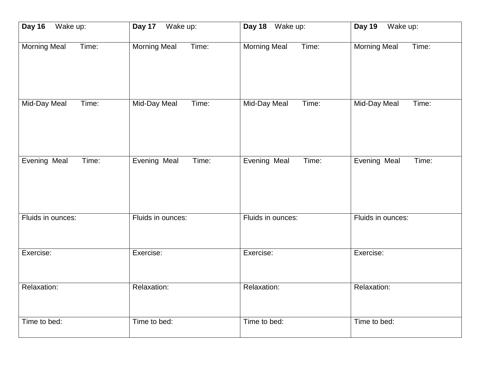| Wake up:            | Wake up:            | Day 18 Wake up:     | Wake up:            |
|---------------------|---------------------|---------------------|---------------------|
| Day 16              | Day 17              |                     | <b>Day 19</b>       |
| <b>Morning Meal</b> | <b>Morning Meal</b> | <b>Morning Meal</b> | Morning Meal        |
| Time:               | Time:               | Time:               | Time:               |
| Mid-Day Meal        | Mid-Day Meal        | Mid-Day Meal        | <b>Mid-Day Meal</b> |
| Time:               | Time:               | Time:               | Time:               |
| Evening Meal        | Evening Meal        | Evening Meal        | Evening Meal        |
| Time:               | Time:               | Time:               | Time:               |
| Fluids in ounces:   | Fluids in ounces:   | Fluids in ounces:   | Fluids in ounces:   |
| Exercise:           | Exercise:           | Exercise:           | Exercise:           |
| Relaxation:         | Relaxation:         | Relaxation:         | Relaxation:         |
| Time to bed:        | Time to bed:        | Time to bed:        | Time to bed:        |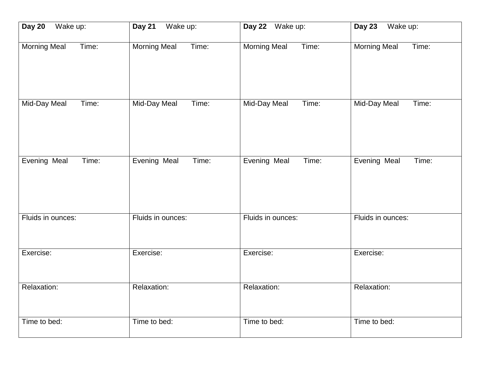| Day 20              | Wake up:            | Day 22 Wake up:     | Wake up:            |
|---------------------|---------------------|---------------------|---------------------|
| Wake up:            | Day 21              |                     | Day 23              |
| <b>Morning Meal</b> | <b>Morning Meal</b> | <b>Morning Meal</b> | <b>Morning Meal</b> |
| Time:               | Time:               | Time:               | Time:               |
| Mid-Day Meal        | Mid-Day Meal        | Mid-Day Meal        | <b>Mid-Day Meal</b> |
| Time:               | Time:               | Time:               | Time:               |
| Evening Meal        | Evening Meal        | Evening Meal        | Evening Meal        |
| Time:               | Time:               | Time:               | Time:               |
| Fluids in ounces:   | Fluids in ounces:   | Fluids in ounces:   | Fluids in ounces:   |
| Exercise:           | Exercise:           | Exercise:           | Exercise:           |
| Relaxation:         | Relaxation:         | Relaxation:         | Relaxation:         |
| Time to bed:        | Time to bed:        | Time to bed:        | Time to bed:        |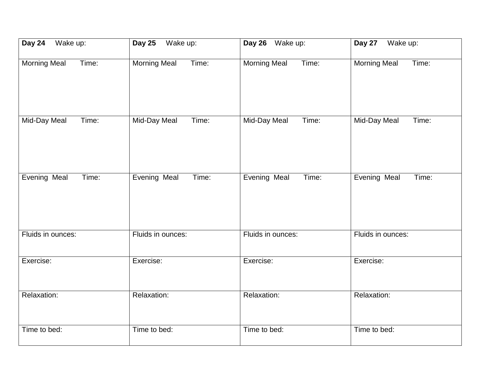| Day 24              | <b>Day 25</b>       | Day 26 Wake up:     | Wake up:            |
|---------------------|---------------------|---------------------|---------------------|
| Wake up:            | Wake up:            |                     | Day 27              |
| <b>Morning Meal</b> | Time:               | Time:               | Time:               |
| Time:               | <b>Morning Meal</b> | <b>Morning Meal</b> | <b>Morning Meal</b> |
| Mid-Day Meal        | <b>Mid-Day Meal</b> | Mid-Day Meal        | <b>Mid-Day Meal</b> |
| Time:               | Time:               | Time:               | Time:               |
| Evening Meal        | Evening Meal        | Evening Meal        | Evening Meal        |
| Time:               | Time:               | Time:               | Time:               |
| Fluids in ounces:   | Fluids in ounces:   | Fluids in ounces:   | Fluids in ounces:   |
| Exercise:           | Exercise:           | Exercise:           | Exercise:           |
| Relaxation:         | Relaxation:         | Relaxation:         | Relaxation:         |
| Time to bed:        | Time to bed:        | Time to bed:        | Time to bed:        |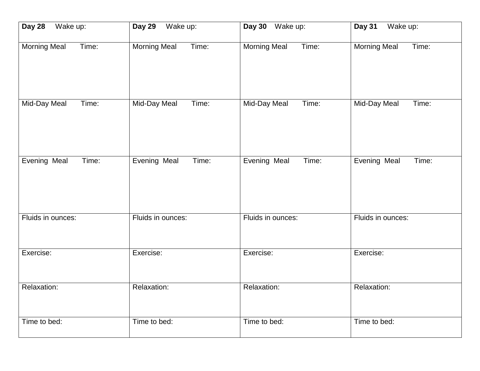| Day 28              | Day 29              | Day 30 Wake up:     | <b>Day 31</b>       |
|---------------------|---------------------|---------------------|---------------------|
| Wake up:            | Wake up:            |                     | Wake up:            |
| <b>Morning Meal</b> | <b>Morning Meal</b> | <b>Morning Meal</b> | <b>Morning Meal</b> |
| Time:               | Time:               | Time:               | Time:               |
| Mid-Day Meal        | Mid-Day Meal        | Mid-Day Meal        | <b>Mid-Day Meal</b> |
| Time:               | Time:               | Time:               | Time:               |
| Evening Meal        | Evening Meal        | Evening Meal        | Evening Meal        |
| Time:               | Time:               | Time:               | Time:               |
| Fluids in ounces:   | Fluids in ounces:   | Fluids in ounces:   | Fluids in ounces:   |
| Exercise:           | Exercise:           | Exercise:           | Exercise:           |
| Relaxation:         | Relaxation:         | Relaxation:         | Relaxation:         |
| Time to bed:        | Time to bed:        | Time to bed:        | Time to bed:        |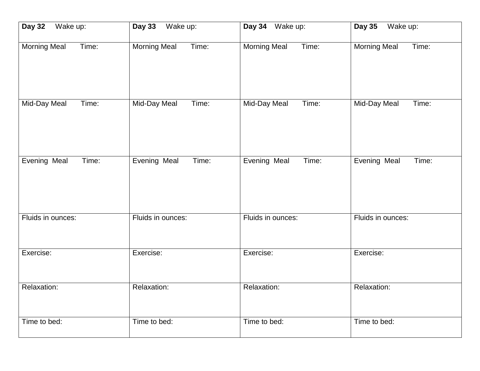| Day 32              | Wake up:            | Day 34 Wake up:     | Wake up:            |
|---------------------|---------------------|---------------------|---------------------|
| Wake up:            | <b>Day 33</b>       |                     | <b>Day 35</b>       |
| <b>Morning Meal</b> | <b>Morning Meal</b> | <b>Morning Meal</b> | <b>Morning Meal</b> |
| Time:               | Time:               | Time:               | Time:               |
| Mid-Day Meal        | Mid-Day Meal        | Mid-Day Meal        | <b>Mid-Day Meal</b> |
| Time:               | Time:               | Time:               | Time:               |
| Evening Meal        | Evening Meal        | Evening Meal        | Evening Meal        |
| Time:               | Time:               | Time:               | Time:               |
| Fluids in ounces:   | Fluids in ounces:   | Fluids in ounces:   | Fluids in ounces:   |
| Exercise:           | Exercise:           | Exercise:           | Exercise:           |
| Relaxation:         | Relaxation:         | Relaxation:         | Relaxation:         |
| Time to bed:        | Time to bed:        | Time to bed:        | Time to bed:        |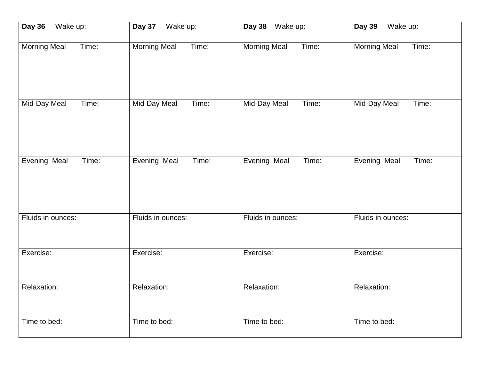| <b>Day 36</b>       | Wake up:            | Day 38 Wake up:     | Wake up:            |
|---------------------|---------------------|---------------------|---------------------|
| Wake up:            | Day 37              |                     | <b>Day 39</b>       |
| <b>Morning Meal</b> | <b>Morning Meal</b> | <b>Morning Meal</b> | <b>Morning Meal</b> |
| Time:               | Time:               | Time:               | Time:               |
| Mid-Day Meal        | Mid-Day Meal        | Mid-Day Meal        | <b>Mid-Day Meal</b> |
| Time:               | Time:               | Time:               | Time:               |
| Evening Meal        | Evening Meal        | Evening Meal        | Evening Meal        |
| Time:               | Time:               | Time:               | Time:               |
| Fluids in ounces:   | Fluids in ounces:   | Fluids in ounces:   | Fluids in ounces:   |
| Exercise:           | Exercise:           | Exercise:           | Exercise:           |
| Relaxation:         | Relaxation:         | Relaxation:         | Relaxation:         |
| Time to bed:        | Time to bed:        | Time to bed:        | Time to bed:        |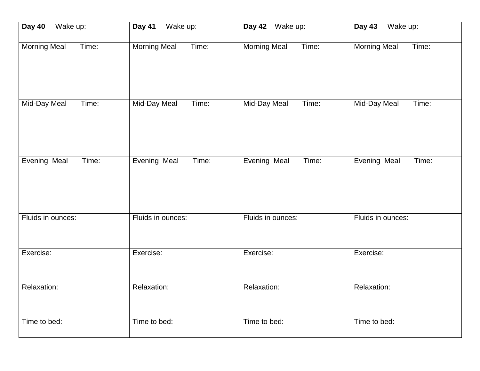| Day 40              | Wake up:            | Day 42 Wake up:     | Wake up:            |
|---------------------|---------------------|---------------------|---------------------|
| Wake up:            | Day 41              |                     | <b>Day 43</b>       |
| <b>Morning Meal</b> | <b>Morning Meal</b> | <b>Morning Meal</b> | <b>Morning Meal</b> |
| Time:               | Time:               | Time:               | Time:               |
| Mid-Day Meal        | Mid-Day Meal        | Mid-Day Meal        | <b>Mid-Day Meal</b> |
| Time:               | Time:               | Time:               | Time:               |
| Evening Meal        | Evening Meal        | Evening Meal        | Evening Meal        |
| Time:               | Time:               | Time:               | Time:               |
| Fluids in ounces:   | Fluids in ounces:   | Fluids in ounces:   | Fluids in ounces:   |
| Exercise:           | Exercise:           | Exercise:           | Exercise:           |
| Relaxation:         | Relaxation:         | Relaxation:         | Relaxation:         |
| Time to bed:        | Time to bed:        | Time to bed:        | Time to bed:        |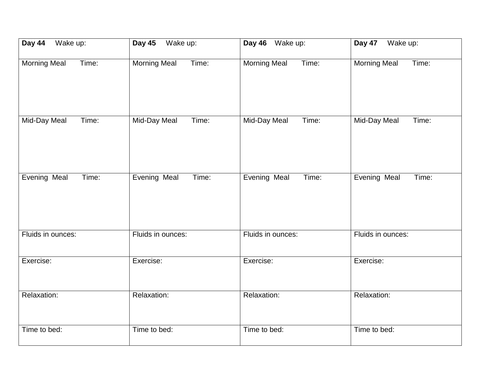| Day 44              | <b>Day 45</b>       | Day 46 Wake up:     | Day 47              |
|---------------------|---------------------|---------------------|---------------------|
| Wake up:            | Wake up:            |                     | Wake up:            |
| <b>Morning Meal</b> | Time:               | Time:               | Time:               |
| Time:               | <b>Morning Meal</b> | <b>Morning Meal</b> | <b>Morning Meal</b> |
| Mid-Day Meal        | <b>Mid-Day Meal</b> | Mid-Day Meal        | <b>Mid-Day Meal</b> |
| Time:               | Time:               | Time:               | Time:               |
| Evening Meal        | Evening Meal        | Evening Meal        | Evening Meal        |
| Time:               | Time:               | Time:               | Time:               |
| Fluids in ounces:   | Fluids in ounces:   | Fluids in ounces:   | Fluids in ounces:   |
| Exercise:           | Exercise:           | Exercise:           | Exercise:           |
| Relaxation:         | Relaxation:         | Relaxation:         | Relaxation:         |
| Time to bed:        | Time to bed:        | Time to bed:        | Time to bed:        |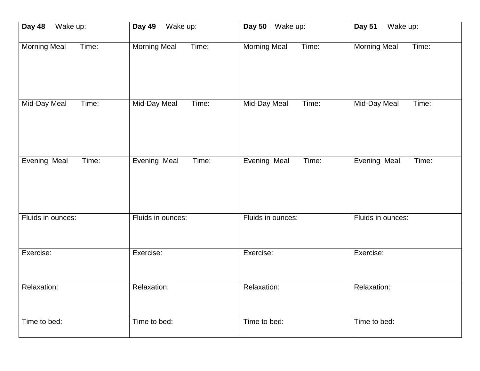| Wake up:          | Wake up:            | Day 50 Wake up:     | Wake up:          |
|-------------------|---------------------|---------------------|-------------------|
| Day 48            | Day 49              |                     | <b>Day 51</b>     |
| Morning Meal      | <b>Morning Meal</b> | <b>Morning Meal</b> | Morning Meal      |
| Time:             | Time:               | Time:               | Time:             |
| Mid-Day Meal      | Mid-Day Meal        | Mid-Day Meal        | Mid-Day Meal      |
| Time:             | Time:               | Time:               | Time:             |
| Evening Meal      | Evening Meal        | Evening Meal        | Evening Meal      |
| Time:             | Time:               | Time:               | Time:             |
| Fluids in ounces: | Fluids in ounces:   | Fluids in ounces:   | Fluids in ounces: |
| Exercise:         | Exercise:           | Exercise:           | Exercise:         |
| Relaxation:       | Relaxation:         | Relaxation:         | Relaxation:       |
| Time to bed:      | Time to bed:        | Time to bed:        | Time to bed:      |